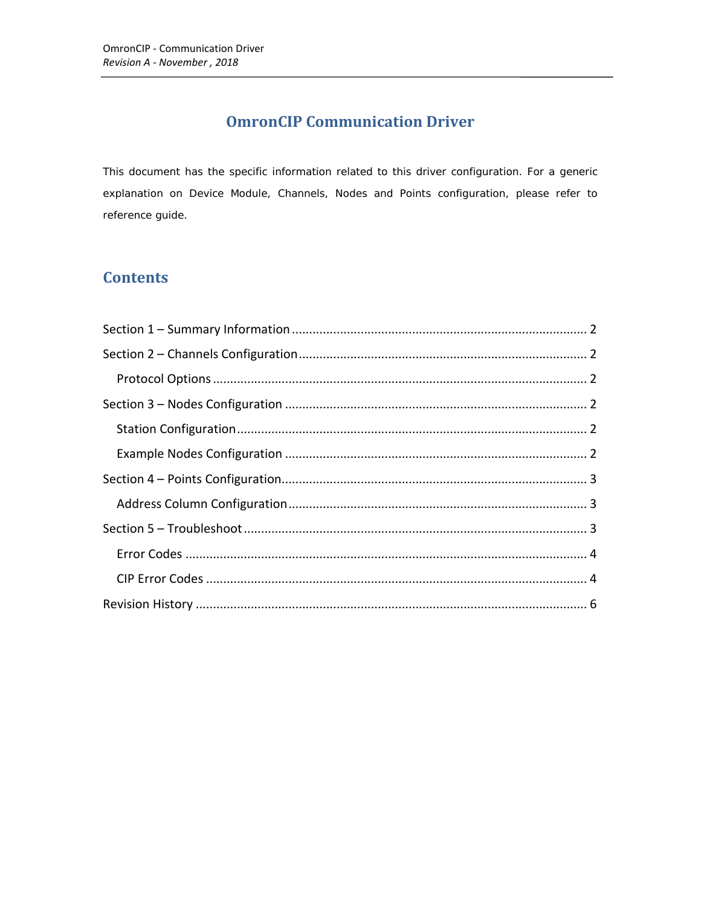## **OmronCIP Communication Driver**

This document has the specific information related to this driver configuration. For a generic explanation on Device Module, Channels, Nodes and Points configuration, please refer to reference guide.

### **Contents**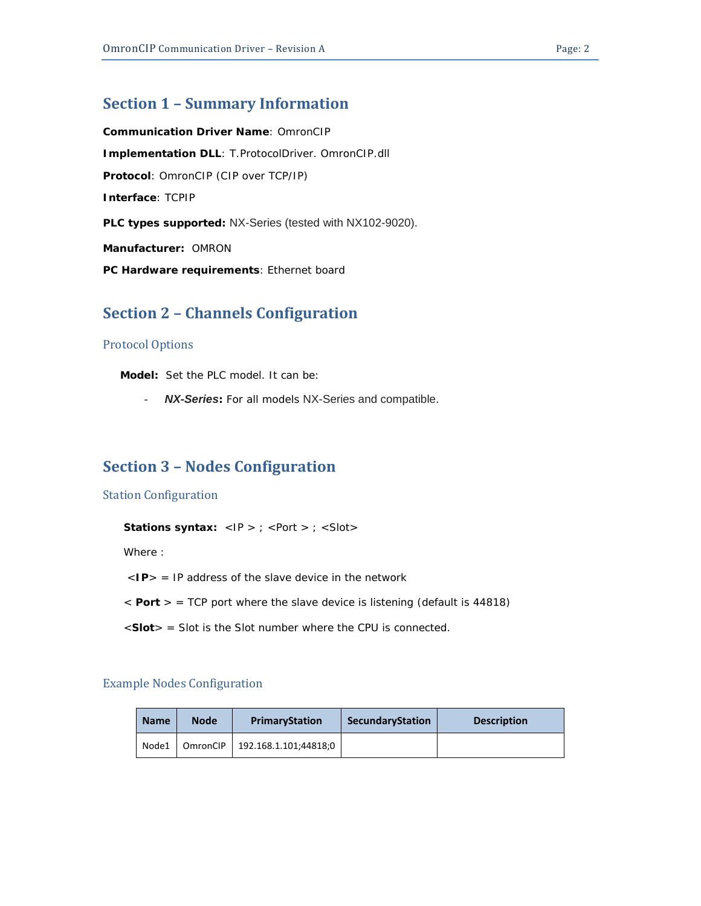### <span id="page-1-0"></span>**Section 1 – Summary Information**

**Communication Driver Name**: OmronCIP **Implementation DLL**: T.ProtocolDriver. OmronCIP.dll **Protocol**: OmronCIP (CIP over TCP/IP) **Interface**: TCPIP **PLC types supported:** NX-Series (tested with NX102-9020). **Manufacturer:** OMRON **PC Hardware requirements**: Ethernet board

#### <span id="page-1-1"></span>**Section 2 – Channels Configuration**

#### <span id="page-1-2"></span>Protocol Options

 **Model:** Set the PLC model. It can be:

- *NX-Series:* For all models NX-Series and compatible.

## <span id="page-1-3"></span>**Section 3 – Nodes Configuration**

#### <span id="page-1-4"></span>Station Configuration

**Stations syntax:** <IP > ; <Port > ; <Slot>

Where :

- $\langle$ **IP** $>$  = IP address of the slave device in the network
- < **Port** > = TCP port where the slave device is listening (default is 44818)
- <**Slot**> = Slot is the Slot number where the CPU is connected.

#### <span id="page-1-5"></span>Example Nodes Configuration

| <b>Name</b> | <b>Node</b> | PrimaryStation                           | SecundaryStation | <b>Description</b> |
|-------------|-------------|------------------------------------------|------------------|--------------------|
|             |             | Node1   OmronCIP   192.168.1.101;44818;0 |                  |                    |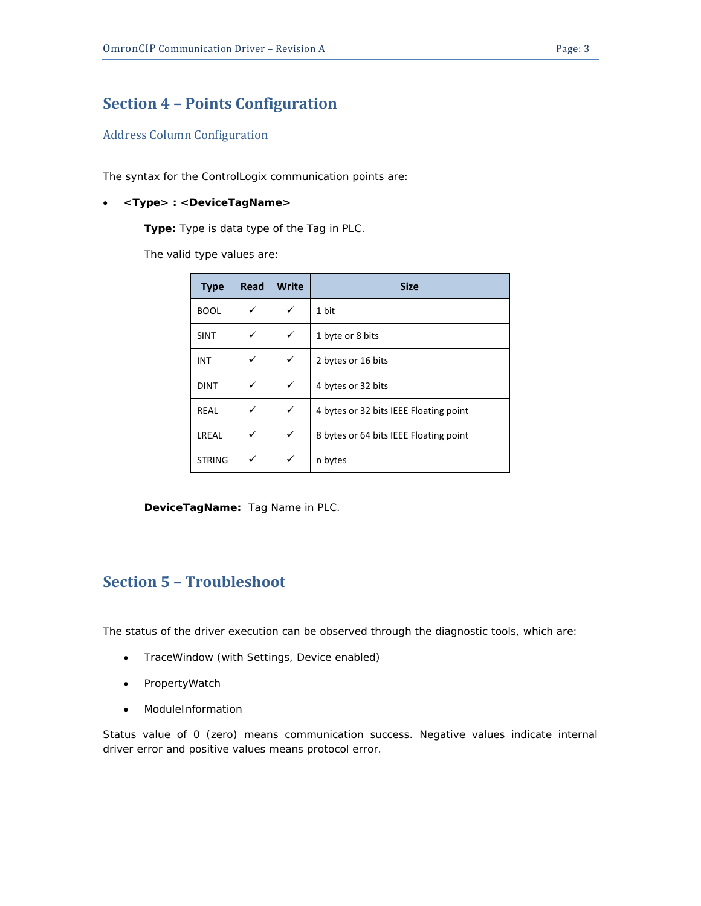### <span id="page-2-0"></span>**Section 4 – Points Configuration**

#### <span id="page-2-1"></span>Address Column Configuration

The syntax for the ControlLogix communication points are:

#### • *<Type> : <DeviceTagName>*

*Type***:** Type is data type of the Tag in PLC.

The valid type values are:

| <b>Type</b>   | Read | <b>Write</b> | <b>Size</b>                            |
|---------------|------|--------------|----------------------------------------|
| <b>BOOL</b>   | ✓    | ✓            | 1 bit                                  |
| <b>SINT</b>   | ✓    | ✓            | 1 byte or 8 bits                       |
| INT           | ✓    | ✓            | 2 bytes or 16 bits                     |
| <b>DINT</b>   | ✓    | ✓            | 4 bytes or 32 bits                     |
| <b>REAL</b>   | ✓    | ✓            | 4 bytes or 32 bits IEEE Floating point |
| LREAL         | ✓    | ✓            | 8 bytes or 64 bits IEEE Floating point |
| <b>STRING</b> | ✓    |              | n bytes                                |

*DeviceTagName:* Tag Name in PLC.

## <span id="page-2-2"></span>**Section 5 – Troubleshoot**

The status of the driver execution can be observed through the diagnostic tools, which are:

- TraceWindow (with Settings, Device enabled)
- PropertyWatch
- ModuleInformation

Status value of 0 (zero) means communication success. Negative values indicate internal driver error and positive values means protocol error.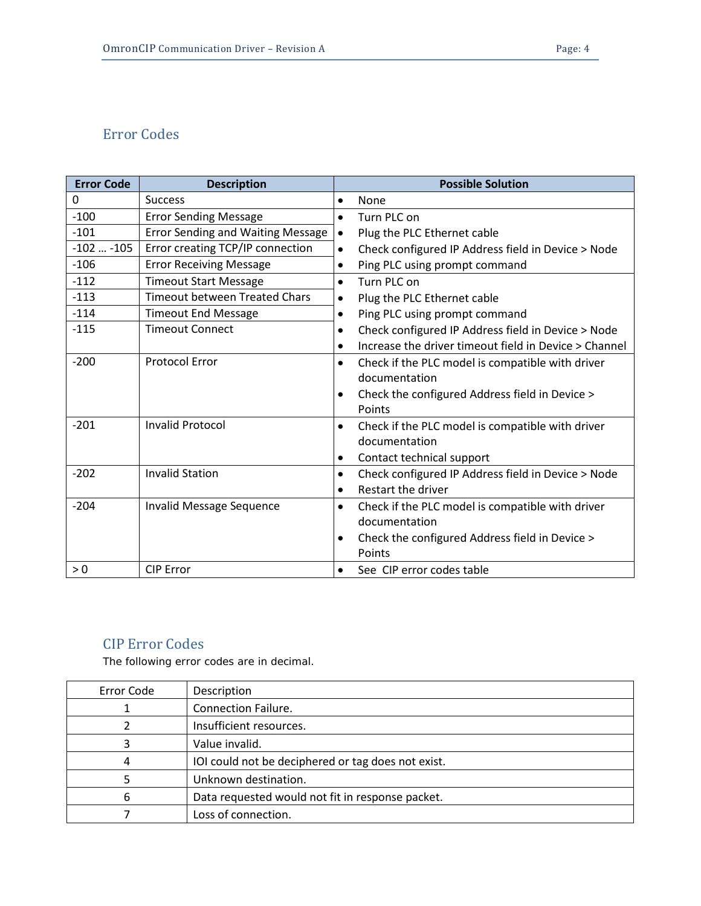# <span id="page-3-0"></span>Error Codes

| <b>Error Code</b> | <b>Description</b>                       | <b>Possible Solution</b>                                        |
|-------------------|------------------------------------------|-----------------------------------------------------------------|
| 0                 | <b>Success</b>                           | None<br>٠                                                       |
| $-100$            | <b>Error Sending Message</b>             | Turn PLC on<br>$\bullet$                                        |
| $-101$            | <b>Error Sending and Waiting Message</b> | Plug the PLC Ethernet cable<br>$\bullet$                        |
| $-102$ $-105$     | Error creating TCP/IP connection         | Check configured IP Address field in Device > Node<br>$\bullet$ |
| $-106$            | <b>Error Receiving Message</b>           | Ping PLC using prompt command<br>٠                              |
| $-112$            | <b>Timeout Start Message</b>             | Turn PLC on<br>$\bullet$                                        |
| $-113$            | <b>Timeout between Treated Chars</b>     | Plug the PLC Ethernet cable<br>٠                                |
| $-114$            | <b>Timeout End Message</b>               | Ping PLC using prompt command<br>$\bullet$                      |
| $-115$            | <b>Timeout Connect</b>                   | Check configured IP Address field in Device > Node<br>$\bullet$ |
|                   |                                          | Increase the driver timeout field in Device > Channel<br>٠      |
| $-200$            | <b>Protocol Error</b>                    | Check if the PLC model is compatible with driver<br>$\bullet$   |
|                   |                                          | documentation                                                   |
|                   |                                          | Check the configured Address field in Device >                  |
|                   |                                          | Points                                                          |
| $-201$            | <b>Invalid Protocol</b>                  | Check if the PLC model is compatible with driver<br>$\bullet$   |
|                   |                                          | documentation                                                   |
|                   |                                          | Contact technical support<br>$\bullet$                          |
| $-202$            | <b>Invalid Station</b>                   | Check configured IP Address field in Device > Node<br>$\bullet$ |
|                   |                                          | Restart the driver<br>$\bullet$                                 |
| $-204$            | Invalid Message Sequence                 | Check if the PLC model is compatible with driver<br>$\bullet$   |
|                   |                                          | documentation                                                   |
|                   |                                          | Check the configured Address field in Device ><br>$\bullet$     |
|                   |                                          | Points                                                          |
| > 0               | <b>CIP Error</b>                         | See CIP error codes table<br>$\bullet$                          |

### <span id="page-3-1"></span>CIP Error Codes

The following error codes are in decimal.

| Error Code | Description                                        |
|------------|----------------------------------------------------|
|            | <b>Connection Failure.</b>                         |
|            | Insufficient resources.                            |
|            | Value invalid.                                     |
|            | IOI could not be deciphered or tag does not exist. |
|            | Unknown destination.                               |
| 6          | Data requested would not fit in response packet.   |
|            | Loss of connection.                                |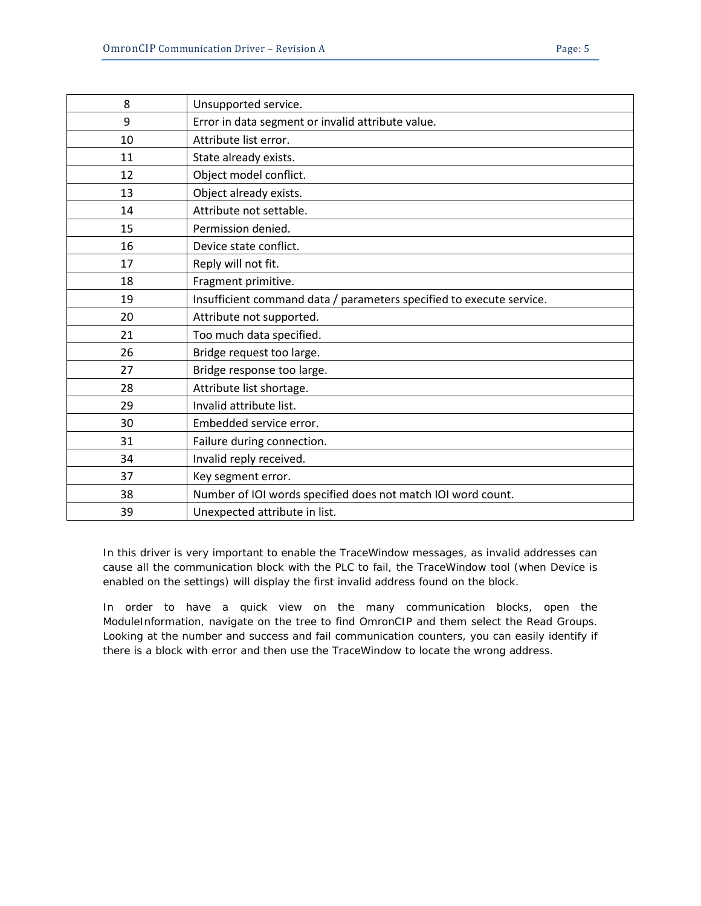| 8  | Unsupported service.                                                 |
|----|----------------------------------------------------------------------|
| 9  | Error in data segment or invalid attribute value.                    |
| 10 | Attribute list error.                                                |
| 11 | State already exists.                                                |
| 12 | Object model conflict.                                               |
| 13 | Object already exists.                                               |
| 14 | Attribute not settable.                                              |
| 15 | Permission denied.                                                   |
| 16 | Device state conflict.                                               |
| 17 | Reply will not fit.                                                  |
| 18 | Fragment primitive.                                                  |
| 19 | Insufficient command data / parameters specified to execute service. |
| 20 | Attribute not supported.                                             |
| 21 | Too much data specified.                                             |
| 26 | Bridge request too large.                                            |
| 27 | Bridge response too large.                                           |
| 28 | Attribute list shortage.                                             |
| 29 | Invalid attribute list.                                              |
| 30 | Embedded service error.                                              |
| 31 | Failure during connection.                                           |
| 34 | Invalid reply received.                                              |
| 37 | Key segment error.                                                   |
| 38 | Number of IOI words specified does not match IOI word count.         |
| 39 | Unexpected attribute in list.                                        |

In this driver is very important to enable the TraceWindow messages, as invalid addresses can cause all the communication block with the PLC to fail, the TraceWindow tool (when Device is enabled on the settings) will display the first invalid address found on the block.

In order to have a quick view on the many communication blocks, open the ModuleInformation, navigate on the tree to find OmronCIP and them select the Read Groups. Looking at the number and success and fail communication counters, you can easily identify if there is a block with error and then use the TraceWindow to locate the wrong address.